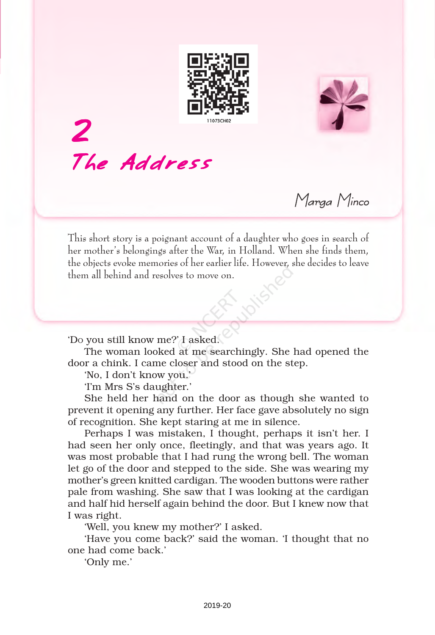



The Address

2

Marga Minco

This short story is a poignant account of a daughter who goes in search of her mother's belongings after the War, in Holland. When she finds them, the objects evoke memories of her earlier life. However, she decides to leave them all behind and resolves to move on.

'DO you still know me?' I asked.

The woman looked at me searchingly. She had opened the door a chink. I came closer and stood on the step.

'No, I don't know you.'

'I'm Mrs S's daughter.'

She held her hand on the door as though she wanted to prevent it opening any further. Her face gave absolutely no sign of recognition. She kept staring at me in silence.

Perhaps I was mistaken, I thought, perhaps it isn't her. I had seen her only once, fleetingly, and that was years ago. It was most probable that I had rung the wrong bell. The woman let go of the door and stepped to the side. She was wearing my mother's green knitted cardigan. The wooden buttons were rather pale from washing. She saw that I was looking at the cardigan and half hid herself again behind the door. But I knew now that I was right.

'Well, you knew my mother?' I asked.

'Have you come back?' said the woman. 'I thought that no one had come back.'

'Only me.'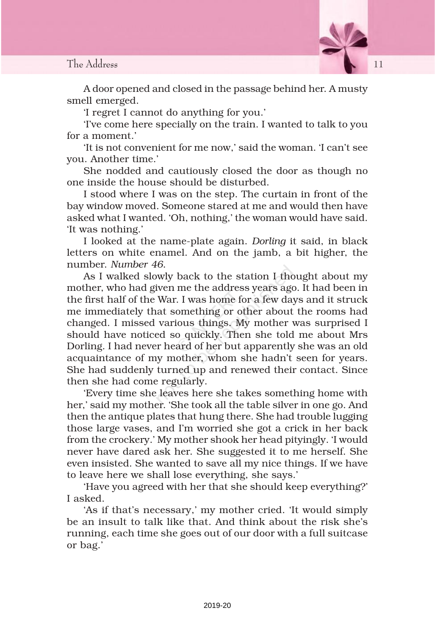

A door opened and closed in the passage behind her. A musty smell emerged.

'I regret I cannot do anything for you.'

'I've come here specially on the train. I wanted to talk to you for a moment.'

'It is not convenient for me now,' said the woman. 'I can't see you. Another time.'

She nodded and cautiously closed the door as though no one inside the house should be disturbed.

I stood where I was on the step. The curtain in front of the bay window moved. Someone stared at me and would then have asked what I wanted. 'Oh, nothing,' the woman would have said. 'It was nothing.'

I looked at the name-plate again. *Dorling* it said, in black letters on white enamel. And on the jamb, a bit higher, the number. *Number 46*.

As I walked slowly back to the station I thought about my mother, who had given me the address years ago. It had been in the first half of the War. I was home for a few days and it struck me immediately that something or other about the rooms had changed. I missed various things. My mother was surprised I should have noticed so quickly. Then she told me about Mrs Dorling. I had never heard of her but apparently she was an old acquaintance of my mother, whom she hadn't seen for years. She had suddenly turned up and renewed their contact. Since then she had come regularly.

'Every time she leaves here she takes something home with her,' said my mother. 'She took all the table silver in one go. And then the antique plates that hung there. She had trouble lugging those large vases, and I'm worried she got a crick in her back from the crockery.' My mother shook her head pityingly. 'I would never have dared ask her. She suggested it to me herself. She even insisted. She wanted to save all my nice things. If we have to leave here we shall lose everything, she says.'

'Have you agreed with her that she should keep everything?' I asked.

'As if that's necessary,' my mother cried. 'It would simply be an insult to talk like that. And think about the risk she's running, each time she goes out of our door with a full suitcase or bag.'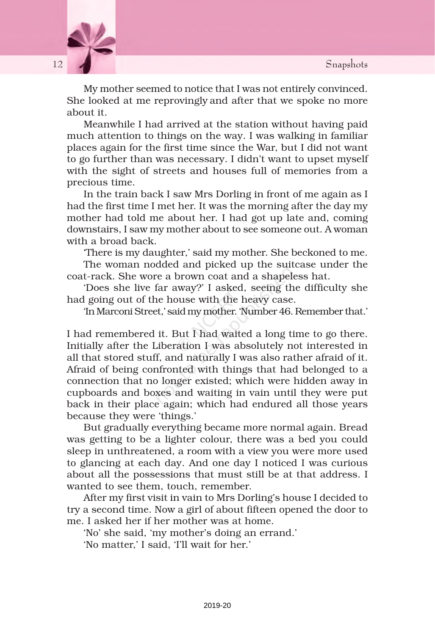

My mother seemed to notice that I was not entirely convinced. She looked at me reprovingly and after that we spoke no more about it.

Meanwhile I had arrived at the station without having paid much attention to things on the way. I was walking in familiar places again for the first time since the War, but I did not want to go further than was necessary. I didn't want to upset myself with the sight of streets and houses full of memories from a precious time.

In the train back I saw Mrs Dorling in front of me again as I had the first time I met her. It was the morning after the day my mother had told me about her. I had got up late and, coming downstairs, I saw my mother about to see someone out. A woman with a broad back.

'There is my daughter,' said my mother. She beckoned to me.

The woman nodded and picked up the suitcase under the coat-rack. She wore a brown coat and a shapeless hat.

'Does she live far away?' I asked, seeing the difficulty she had going out of the house with the heavy case.

'In Marconi Street,' said my mother. 'Number 46. Remember that.'

I had remembered it. But I had waited a long time to go there. Initially after the Liberation I was absolutely not interested in all that stored stuff, and naturally I was also rather afraid of it. Afraid of being confronted with things that had belonged to a connection that no longer existed; which were hidden away in cupboards and boxes and waiting in vain until they were put back in their place again; which had endured all those years because they were 'things.'

But gradually everything became more normal again. Bread was getting to be a lighter colour, there was a bed you could sleep in unthreatened, a room with a view you were more used to glancing at each day. And one day I noticed I was curious about all the possessions that must still be at that address. I wanted to see them, touch, remember.

After my first visit in vain to Mrs Dorling's house I decided to try a second time. Now a girl of about fifteen opened the door to me. I asked her if her mother was at home.

'No' she said, 'my mother's doing an errand.' 'No matter,' I said, 'I'll wait for her.'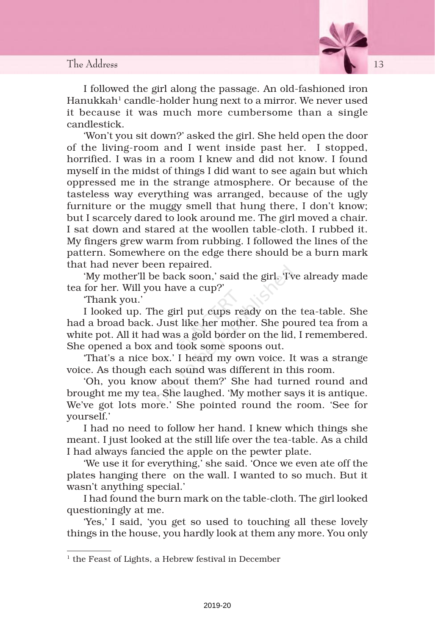

I followed the girl along the passage. An old-fashioned iron Hanukkah<sup>1</sup> candle-holder hung next to a mirror. We never used it because it was much more cumbersome than a single candlestick.

'Won't you sit down?' asked the girl. She held open the door of the living-room and I went inside past her. I stopped, horrified. I was in a room I knew and did not know. I found myself in the midst of things I did want to see again but which oppressed me in the strange atmosphere. Or because of the tasteless way everything was arranged, because of the ugly furniture or the muggy smell that hung there, I don't know; but I scarcely dared to look around me. The girl moved a chair. I sat down and stared at the woollen table-cloth. I rubbed it. My fingers grew warm from rubbing. I followed the lines of the pattern. Somewhere on the edge there should be a burn mark that had never been repaired.

'My mother'll be back soon,' said the girl. 'I've already made tea for her. Will you have a cup?'

'Thank you.'

I looked up. The girl put cups ready on the tea-table. She had a broad back. Just like her mother. She poured tea from a white pot. All it had was a gold border on the lid, I remembered. She opened a box and took some spoons out.

'That's a nice box.' I heard my own voice. It was a strange voice. As though each sound was different in this room.

'Oh, you know about them?' She had turned round and brought me my tea. She laughed. 'My mother says it is antique. We've got lots more.' She pointed round the room. 'See for yourself.'

I had no need to follow her hand. I knew which things she meant. I just looked at the still life over the tea-table. As a child I had always fancied the apple on the pewter plate.

'We use it for everything,' she said. 'Once we even ate off the plates hanging there on the wall. I wanted to so much. But it wasn't anything special.'

I had found the burn mark on the table-cloth. The girl looked questioningly at me.

'Yes,' I said, 'you get so used to touching all these lovely things in the house, you hardly look at them any more. You only

<sup>&</sup>lt;sup>1</sup> the Feast of Lights, a Hebrew festival in December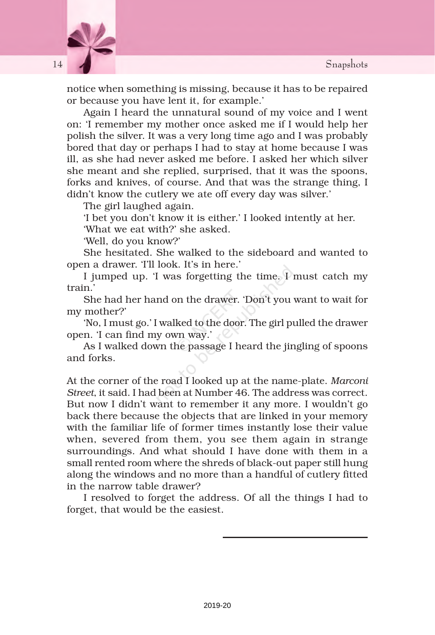

notice when something is missing, because it has to be repaired or because you have lent it, for example.'

Again I heard the unnatural sound of my voice and I went on: 'I remember my mother once asked me if I would help her polish the silver. It was a very long time ago and I was probably bored that day or perhaps I had to stay at home because I was ill, as she had never asked me before. I asked her which silver she meant and she replied, surprised, that it was the spoons, forks and knives, of course. And that was the strange thing, I didn't know the cutlery we ate off every day was silver.'

The girl laughed again.

'I bet you don't know it is either.' I looked intently at her.

'What we eat with?' she asked.

'Well, do you know?'

She hesitated. She walked to the sideboard and wanted to open a drawer. 'I'll look. It's in here.'

I jumped up. 'I was forgetting the time. I must catch my train.'

She had her hand on the drawer. 'Don't you want to wait for my mother?'

'No, I must go.' I walked to the door. The girl pulled the drawer open. 'I can find my own way.'

As I walked down the passage I heard the jingling of spoons and forks.

At the corner of the road I looked up at the name-plate. *Marconi Street*, it said. I had been at Number 46. The address was correct. But now I didn't want to remember it any more. I wouldn't go back there because the objects that are linked in your memory with the familiar life of former times instantly lose their value when, severed from them, you see them again in strange surroundings. And what should I have done with them in a small rented room where the shreds of black-out paper still hung along the windows and no more than a handful of cutlery fitted in the narrow table drawer?

I resolved to forget the address. Of all the things I had to forget, that would be the easiest.